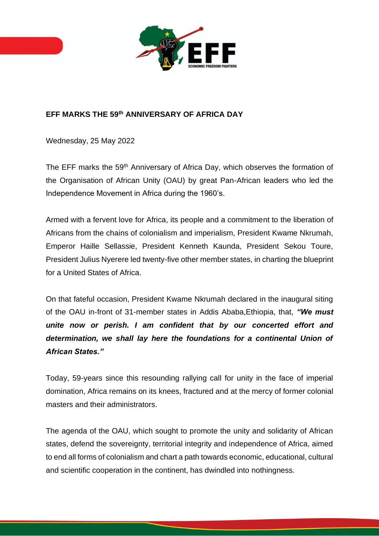

## **EFF MARKS THE 59th ANNIVERSARY OF AFRICA DAY**

Wednesday, 25 May 2022

The EFF marks the 59<sup>th</sup> Anniversary of Africa Day, which observes the formation of the Organisation of African Unity (OAU) by great Pan-African leaders who led the Independence Movement in Africa during the 1960's.

Armed with a fervent love for Africa, its people and a commitment to the liberation of Africans from the chains of colonialism and imperialism, President Kwame Nkrumah, Emperor Haille Sellassie, President Kenneth Kaunda, President Sekou Toure, President Julius Nyerere led twenty-five other member states, in charting the blueprint for a United States of Africa.

On that fateful occasion, President Kwame Nkrumah declared in the inaugural siting of the OAU in-front of 31-member states in Addis Ababa,Ethiopia, that, *"We must unite now or perish. I am confident that by our concerted effort and determination, we shall lay here the foundations for a continental Union of African States."*

Today, 59-years since this resounding rallying call for unity in the face of imperial domination, Africa remains on its knees, fractured and at the mercy of former colonial masters and their administrators.

The agenda of the OAU, which sought to promote the unity and solidarity of African states, defend the sovereignty, territorial integrity and independence of Africa, aimed to end all forms of colonialism and chart a path towards economic, educational, cultural and scientific cooperation in the continent, has dwindled into nothingness.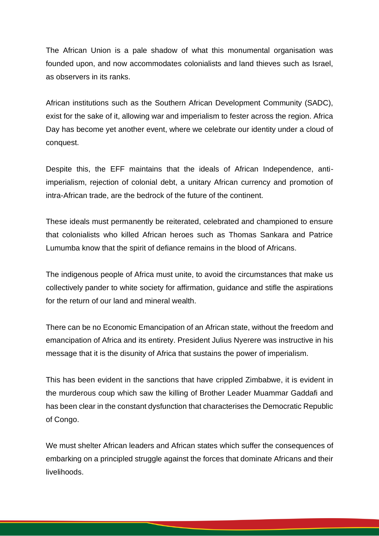The African Union is a pale shadow of what this monumental organisation was founded upon, and now accommodates colonialists and land thieves such as Israel, as observers in its ranks.

African institutions such as the Southern African Development Community (SADC), exist for the sake of it, allowing war and imperialism to fester across the region. Africa Day has become yet another event, where we celebrate our identity under a cloud of conquest.

Despite this, the EFF maintains that the ideals of African Independence, antiimperialism, rejection of colonial debt, a unitary African currency and promotion of intra-African trade, are the bedrock of the future of the continent.

These ideals must permanently be reiterated, celebrated and championed to ensure that colonialists who killed African heroes such as Thomas Sankara and Patrice Lumumba know that the spirit of defiance remains in the blood of Africans.

The indigenous people of Africa must unite, to avoid the circumstances that make us collectively pander to white society for affirmation, guidance and stifle the aspirations for the return of our land and mineral wealth.

There can be no Economic Emancipation of an African state, without the freedom and emancipation of Africa and its entirety. President Julius Nyerere was instructive in his message that it is the disunity of Africa that sustains the power of imperialism.

This has been evident in the sanctions that have crippled Zimbabwe, it is evident in the murderous coup which saw the killing of Brother Leader Muammar Gaddafi and has been clear in the constant dysfunction that characterises the Democratic Republic of Congo.

We must shelter African leaders and African states which suffer the consequences of embarking on a principled struggle against the forces that dominate Africans and their livelihoods.